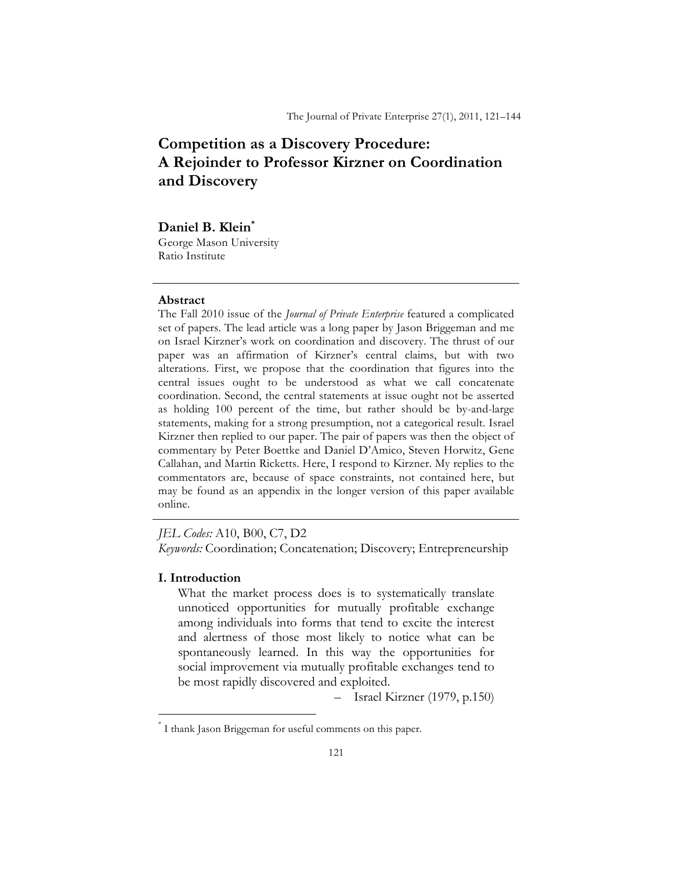# **Competition as a Discovery Procedure: A Rejoinder to Professor Kirzner on Coordination and Discovery**

# **Daniel B. Klein\***

George Mason University Ratio Institute

#### **Abstract**

The Fall 2010 issue of the *Journal of Private Enterprise* featured a complicated set of papers. The lead article was a long paper by Jason Briggeman and me on Israel Kirzner's work on coordination and discovery. The thrust of our paper was an affirmation of Kirzner's central claims, but with two alterations. First, we propose that the coordination that figures into the central issues ought to be understood as what we call concatenate coordination. Second, the central statements at issue ought not be asserted as holding 100 percent of the time, but rather should be by-and-large statements, making for a strong presumption, not a categorical result. Israel Kirzner then replied to our paper. The pair of papers was then the object of commentary by Peter Boettke and Daniel D'Amico, Steven Horwitz, Gene Callahan, and Martin Ricketts. Here, I respond to Kirzner. My replies to the commentators are, because of space constraints, not contained here, but may be found as an appendix in the longer version of this paper available online.

*JEL Codes:* A10, B00, C7, D2 *Keywords:* Coordination; Concatenation; Discovery; Entrepreneurship

## **I. Introduction**

What the market process does is to systematically translate unnoticed opportunities for mutually profitable exchange among individuals into forms that tend to excite the interest and alertness of those most likely to notice what can be spontaneously learned. In this way the opportunities for social improvement via mutually profitable exchanges tend to be most rapidly discovered and exploited.

– Israel Kirzner (1979, p.150)

 <sup>\*</sup> I thank Jason Briggeman for useful comments on this paper.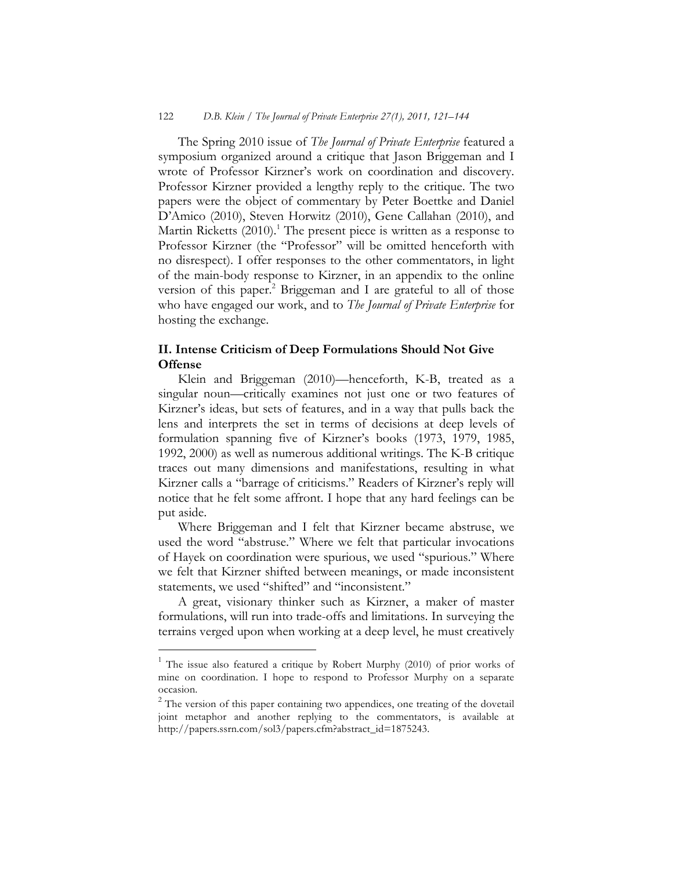#### 122 *D.B. Klein / The Journal of Private Enterprise 27(1), 2011, 121–144*

The Spring 2010 issue of *The Journal of Private Enterprise* featured a symposium organized around a critique that Jason Briggeman and I wrote of Professor Kirzner's work on coordination and discovery. Professor Kirzner provided a lengthy reply to the critique. The two papers were the object of commentary by Peter Boettke and Daniel D'Amico (2010), Steven Horwitz (2010), Gene Callahan (2010), and Martin Ricketts  $(2010)$ .<sup>1</sup> The present piece is written as a response to Professor Kirzner (the "Professor" will be omitted henceforth with no disrespect). I offer responses to the other commentators, in light of the main-body response to Kirzner, in an appendix to the online version of this paper.<sup>2</sup> Briggeman and I are grateful to all of those who have engaged our work, and to *The Journal of Private Enterprise* for hosting the exchange.

## **II. Intense Criticism of Deep Formulations Should Not Give Offense**

Klein and Briggeman (2010)—henceforth, K-B, treated as a singular noun—critically examines not just one or two features of Kirzner's ideas, but sets of features, and in a way that pulls back the lens and interprets the set in terms of decisions at deep levels of formulation spanning five of Kirzner's books (1973, 1979, 1985, 1992, 2000) as well as numerous additional writings. The K-B critique traces out many dimensions and manifestations, resulting in what Kirzner calls a "barrage of criticisms." Readers of Kirzner's reply will notice that he felt some affront. I hope that any hard feelings can be put aside.

Where Briggeman and I felt that Kirzner became abstruse, we used the word "abstruse." Where we felt that particular invocations of Hayek on coordination were spurious, we used "spurious." Where we felt that Kirzner shifted between meanings, or made inconsistent statements, we used "shifted" and "inconsistent."

A great, visionary thinker such as Kirzner, a maker of master formulations, will run into trade-offs and limitations. In surveying the terrains verged upon when working at a deep level, he must creatively

 $1$  The issue also featured a critique by Robert Murphy (2010) of prior works of mine on coordination. I hope to respond to Professor Murphy on a separate occasion.

<sup>&</sup>lt;sup>2</sup> The version of this paper containing two appendices, one treating of the dovetail joint metaphor and another replying to the commentators, is available at http://papers.ssrn.com/sol3/papers.cfm?abstract\_id=1875243.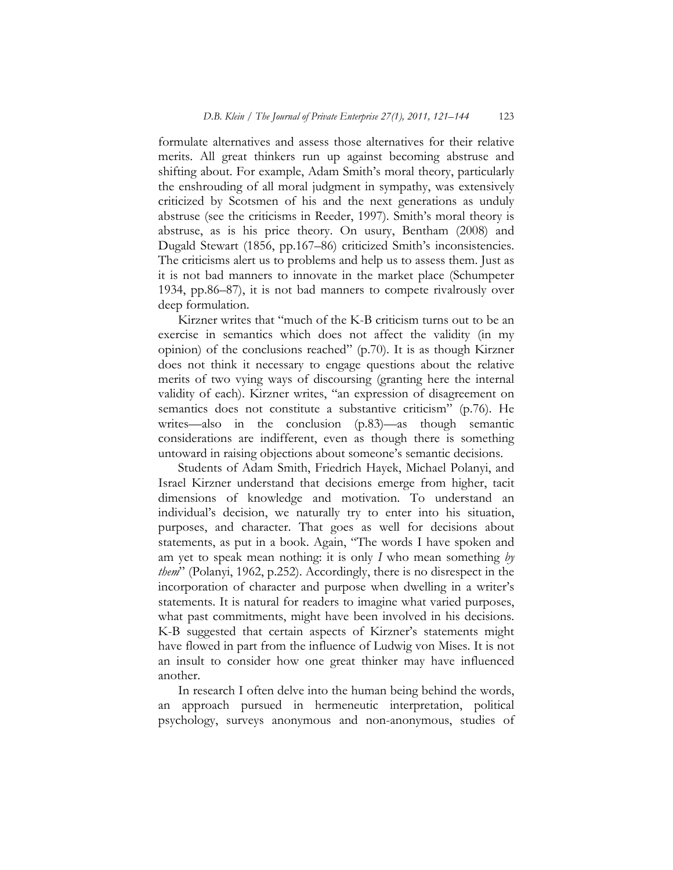formulate alternatives and assess those alternatives for their relative merits. All great thinkers run up against becoming abstruse and shifting about. For example, Adam Smith's moral theory, particularly the enshrouding of all moral judgment in sympathy, was extensively criticized by Scotsmen of his and the next generations as unduly abstruse (see the criticisms in Reeder, 1997). Smith's moral theory is abstruse, as is his price theory. On usury, Bentham (2008) and Dugald Stewart (1856, pp.167–86) criticized Smith's inconsistencies. The criticisms alert us to problems and help us to assess them. Just as it is not bad manners to innovate in the market place (Schumpeter 1934, pp.86–87), it is not bad manners to compete rivalrously over deep formulation.

Kirzner writes that "much of the K-B criticism turns out to be an exercise in semantics which does not affect the validity (in my opinion) of the conclusions reached" (p.70). It is as though Kirzner does not think it necessary to engage questions about the relative merits of two vying ways of discoursing (granting here the internal validity of each). Kirzner writes, "an expression of disagreement on semantics does not constitute a substantive criticism" (p.76). He writes—also in the conclusion (p.83)—as though semantic considerations are indifferent, even as though there is something untoward in raising objections about someone's semantic decisions.

Students of Adam Smith, Friedrich Hayek, Michael Polanyi, and Israel Kirzner understand that decisions emerge from higher, tacit dimensions of knowledge and motivation. To understand an individual's decision, we naturally try to enter into his situation, purposes, and character. That goes as well for decisions about statements, as put in a book. Again, "The words I have spoken and am yet to speak mean nothing: it is only *I* who mean something *by them*" (Polanyi, 1962, p.252). Accordingly, there is no disrespect in the incorporation of character and purpose when dwelling in a writer's statements. It is natural for readers to imagine what varied purposes, what past commitments, might have been involved in his decisions. K-B suggested that certain aspects of Kirzner's statements might have flowed in part from the influence of Ludwig von Mises. It is not an insult to consider how one great thinker may have influenced another.

In research I often delve into the human being behind the words, an approach pursued in hermeneutic interpretation, political psychology, surveys anonymous and non-anonymous, studies of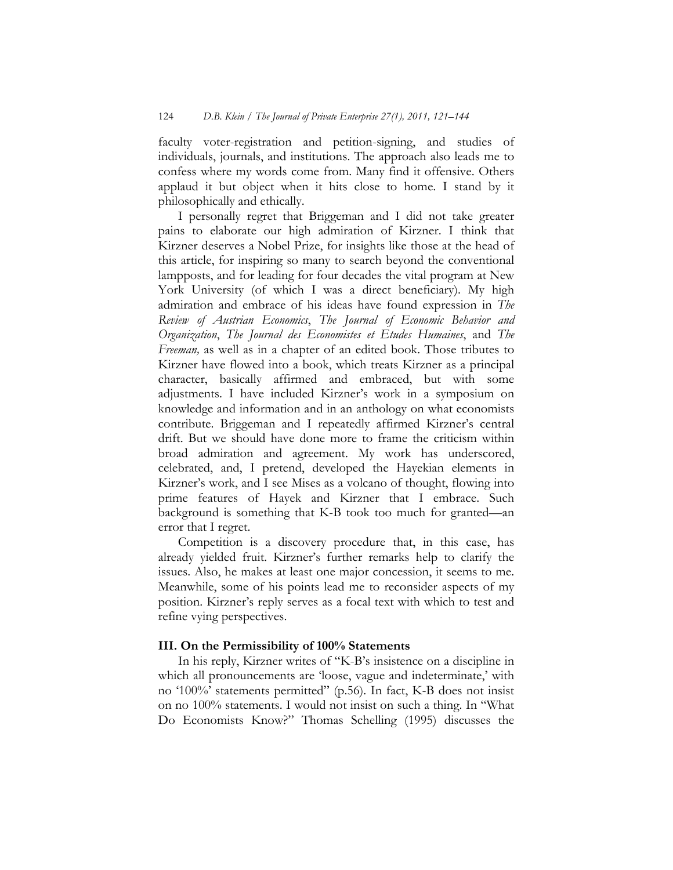faculty voter-registration and petition-signing, and studies of individuals, journals, and institutions. The approach also leads me to confess where my words come from. Many find it offensive. Others applaud it but object when it hits close to home. I stand by it philosophically and ethically.

I personally regret that Briggeman and I did not take greater pains to elaborate our high admiration of Kirzner. I think that Kirzner deserves a Nobel Prize, for insights like those at the head of this article, for inspiring so many to search beyond the conventional lampposts, and for leading for four decades the vital program at New York University (of which I was a direct beneficiary). My high admiration and embrace of his ideas have found expression in *The Review of Austrian Economics*, *The Journal of Economic Behavior and Organization*, *The Journal des Economistes et Etudes Humaines*, and *The Freeman,* as well as in a chapter of an edited book. Those tributes to Kirzner have flowed into a book, which treats Kirzner as a principal character, basically affirmed and embraced, but with some adjustments. I have included Kirzner's work in a symposium on knowledge and information and in an anthology on what economists contribute. Briggeman and I repeatedly affirmed Kirzner's central drift. But we should have done more to frame the criticism within broad admiration and agreement. My work has underscored, celebrated, and, I pretend, developed the Hayekian elements in Kirzner's work, and I see Mises as a volcano of thought, flowing into prime features of Hayek and Kirzner that I embrace. Such background is something that K-B took too much for granted—an error that I regret.

Competition is a discovery procedure that, in this case, has already yielded fruit. Kirzner's further remarks help to clarify the issues. Also, he makes at least one major concession, it seems to me. Meanwhile, some of his points lead me to reconsider aspects of my position. Kirzner's reply serves as a focal text with which to test and refine vying perspectives.

## **III. On the Permissibility of 100% Statements**

In his reply, Kirzner writes of "K-B's insistence on a discipline in which all pronouncements are 'loose, vague and indeterminate,' with no '100%' statements permitted" (p.56). In fact, K-B does not insist on no 100% statements. I would not insist on such a thing. In "What Do Economists Know?" Thomas Schelling (1995) discusses the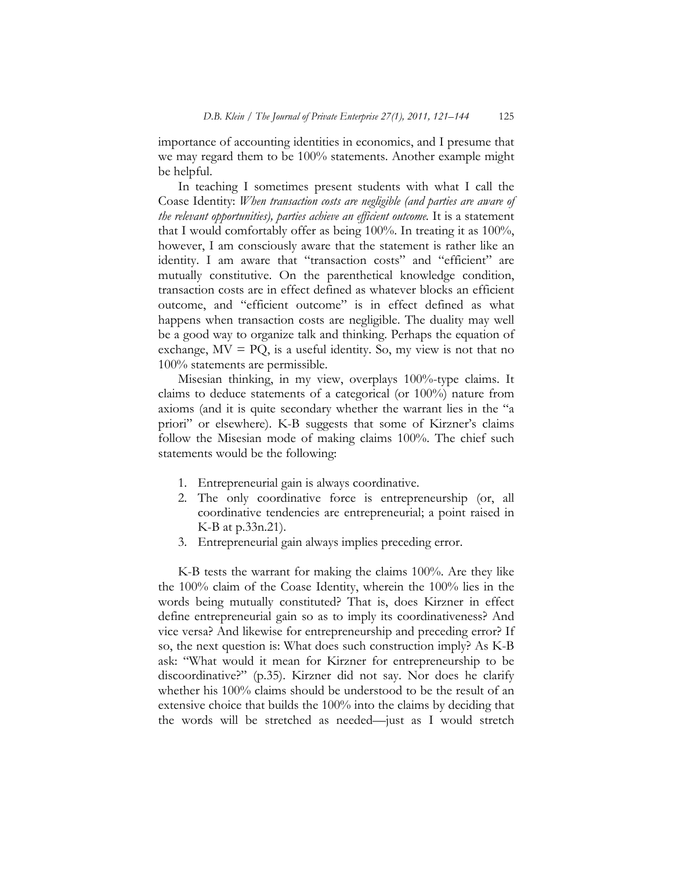importance of accounting identities in economics, and I presume that we may regard them to be 100% statements. Another example might be helpful.

In teaching I sometimes present students with what I call the Coase Identity: *When transaction costs are negligible (and parties are aware of the relevant opportunities), parties achieve an efficient outcome.* It is a statement that I would comfortably offer as being 100%. In treating it as 100%, however, I am consciously aware that the statement is rather like an identity. I am aware that "transaction costs" and "efficient" are mutually constitutive. On the parenthetical knowledge condition, transaction costs are in effect defined as whatever blocks an efficient outcome, and "efficient outcome" is in effect defined as what happens when transaction costs are negligible. The duality may well be a good way to organize talk and thinking. Perhaps the equation of exchange,  $MV = PQ$ , is a useful identity. So, my view is not that no 100% statements are permissible.

Misesian thinking, in my view, overplays 100%-type claims. It claims to deduce statements of a categorical (or 100%) nature from axioms (and it is quite secondary whether the warrant lies in the "a priori" or elsewhere). K-B suggests that some of Kirzner's claims follow the Misesian mode of making claims 100%. The chief such statements would be the following:

- 1. Entrepreneurial gain is always coordinative.
- 2. The only coordinative force is entrepreneurship (or, all coordinative tendencies are entrepreneurial; a point raised in K-B at p.33n.21).
- 3. Entrepreneurial gain always implies preceding error.

K-B tests the warrant for making the claims 100%. Are they like the 100% claim of the Coase Identity, wherein the 100% lies in the words being mutually constituted? That is, does Kirzner in effect define entrepreneurial gain so as to imply its coordinativeness? And vice versa? And likewise for entrepreneurship and preceding error? If so, the next question is: What does such construction imply? As K-B ask: "What would it mean for Kirzner for entrepreneurship to be discoordinative?" (p.35). Kirzner did not say. Nor does he clarify whether his 100% claims should be understood to be the result of an extensive choice that builds the 100% into the claims by deciding that the words will be stretched as needed—just as I would stretch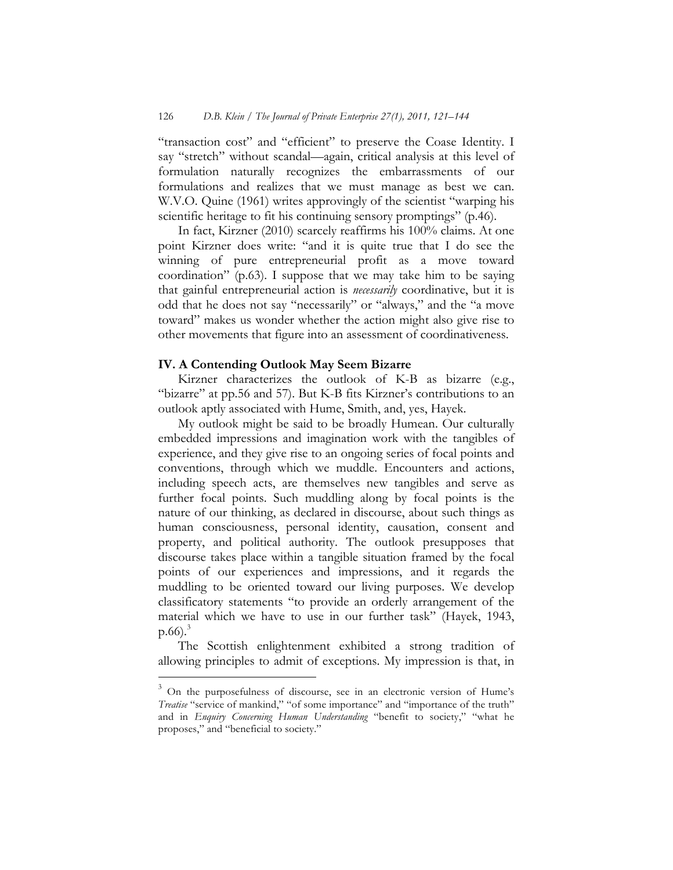"transaction cost" and "efficient" to preserve the Coase Identity. I say "stretch" without scandal—again, critical analysis at this level of formulation naturally recognizes the embarrassments of our formulations and realizes that we must manage as best we can. W.V.O. Quine (1961) writes approvingly of the scientist "warping his scientific heritage to fit his continuing sensory promptings" (p.46).

In fact, Kirzner (2010) scarcely reaffirms his 100% claims. At one point Kirzner does write: "and it is quite true that I do see the winning of pure entrepreneurial profit as a move toward coordination" (p.63). I suppose that we may take him to be saying that gainful entrepreneurial action is *necessarily* coordinative, but it is odd that he does not say "necessarily" or "always," and the "a move toward" makes us wonder whether the action might also give rise to other movements that figure into an assessment of coordinativeness.

### **IV. A Contending Outlook May Seem Bizarre**

Kirzner characterizes the outlook of K-B as bizarre (e.g., "bizarre" at pp.56 and 57). But K-B fits Kirzner's contributions to an outlook aptly associated with Hume, Smith, and, yes, Hayek.

My outlook might be said to be broadly Humean. Our culturally embedded impressions and imagination work with the tangibles of experience, and they give rise to an ongoing series of focal points and conventions, through which we muddle. Encounters and actions, including speech acts, are themselves new tangibles and serve as further focal points. Such muddling along by focal points is the nature of our thinking, as declared in discourse, about such things as human consciousness, personal identity, causation, consent and property, and political authority. The outlook presupposes that discourse takes place within a tangible situation framed by the focal points of our experiences and impressions, and it regards the muddling to be oriented toward our living purposes. We develop classificatory statements "to provide an orderly arrangement of the material which we have to use in our further task" (Hayek, 1943, p.66). $3$ 

The Scottish enlightenment exhibited a strong tradition of allowing principles to admit of exceptions. My impression is that, in

<sup>&</sup>lt;sup>3</sup> On the purposefulness of discourse, see in an electronic version of Hume's *Treatise* "service of mankind," "of some importance" and "importance of the truth" and in *Enquiry Concerning Human Understanding* "benefit to society," "what he proposes," and "beneficial to society."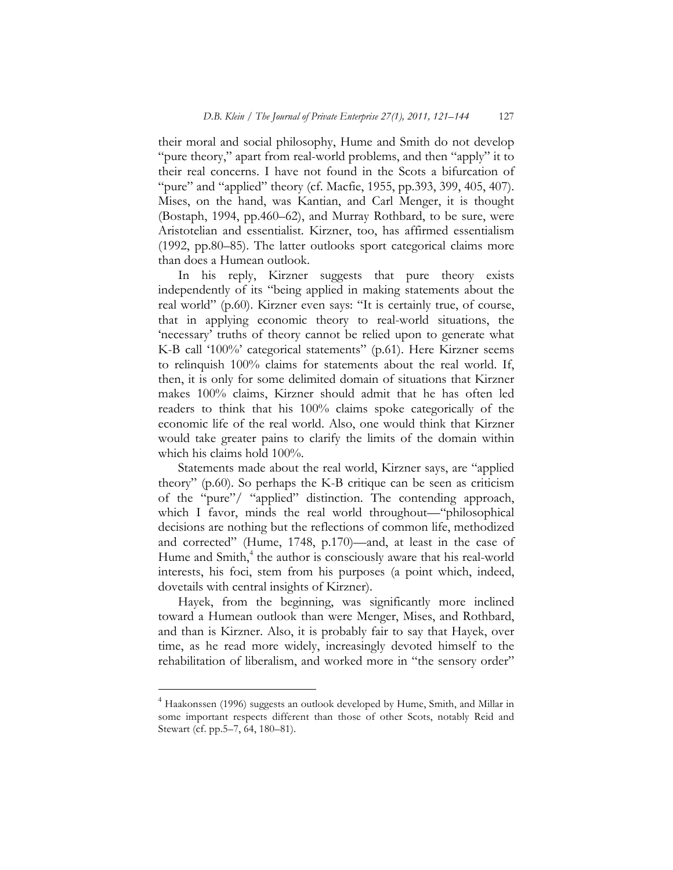their moral and social philosophy, Hume and Smith do not develop "pure theory," apart from real-world problems, and then "apply" it to their real concerns. I have not found in the Scots a bifurcation of "pure" and "applied" theory (cf. Macfie, 1955, pp.393, 399, 405, 407). Mises, on the hand, was Kantian, and Carl Menger, it is thought (Bostaph, 1994, pp.460–62), and Murray Rothbard, to be sure, were Aristotelian and essentialist. Kirzner, too, has affirmed essentialism (1992, pp.80–85). The latter outlooks sport categorical claims more than does a Humean outlook.

In his reply, Kirzner suggests that pure theory exists independently of its "being applied in making statements about the real world" (p.60). Kirzner even says: "It is certainly true, of course, that in applying economic theory to real-world situations, the 'necessary' truths of theory cannot be relied upon to generate what K-B call '100%' categorical statements" (p.61). Here Kirzner seems to relinquish 100% claims for statements about the real world. If, then, it is only for some delimited domain of situations that Kirzner makes 100% claims, Kirzner should admit that he has often led readers to think that his 100% claims spoke categorically of the economic life of the real world. Also, one would think that Kirzner would take greater pains to clarify the limits of the domain within which his claims hold 100%.

Statements made about the real world, Kirzner says, are "applied theory" (p.60). So perhaps the K-B critique can be seen as criticism of the "pure"/ "applied" distinction. The contending approach, which I favor, minds the real world throughout—"philosophical decisions are nothing but the reflections of common life, methodized and corrected" (Hume, 1748, p.170)—and, at least in the case of Hume and Smith,<sup>4</sup> the author is consciously aware that his real-world interests, his foci, stem from his purposes (a point which, indeed, dovetails with central insights of Kirzner).

Hayek, from the beginning, was significantly more inclined toward a Humean outlook than were Menger, Mises, and Rothbard, and than is Kirzner. Also, it is probably fair to say that Hayek, over time, as he read more widely, increasingly devoted himself to the rehabilitation of liberalism, and worked more in "the sensory order"

 <sup>4</sup> Haakonssen (1996) suggests an outlook developed by Hume, Smith, and Millar in some important respects different than those of other Scots, notably Reid and Stewart (cf. pp.5–7, 64, 180–81).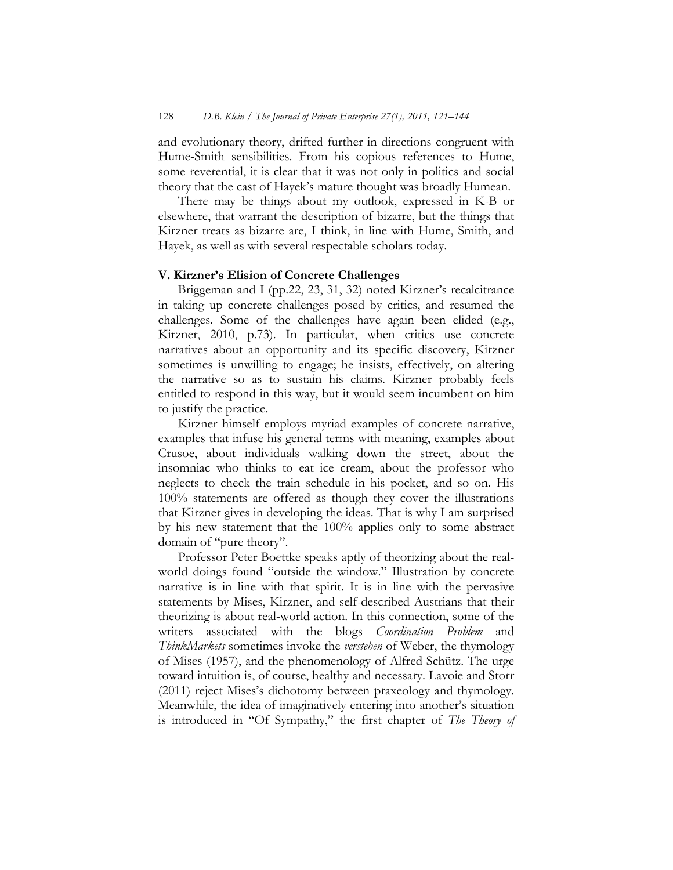and evolutionary theory, drifted further in directions congruent with Hume-Smith sensibilities. From his copious references to Hume, some reverential, it is clear that it was not only in politics and social theory that the cast of Hayek's mature thought was broadly Humean.

There may be things about my outlook, expressed in K-B or elsewhere, that warrant the description of bizarre, but the things that Kirzner treats as bizarre are, I think, in line with Hume, Smith, and Hayek, as well as with several respectable scholars today.

### **V. Kirzner's Elision of Concrete Challenges**

Briggeman and I (pp.22, 23, 31, 32) noted Kirzner's recalcitrance in taking up concrete challenges posed by critics, and resumed the challenges. Some of the challenges have again been elided (e.g., Kirzner, 2010, p.73). In particular, when critics use concrete narratives about an opportunity and its specific discovery, Kirzner sometimes is unwilling to engage; he insists, effectively, on altering the narrative so as to sustain his claims. Kirzner probably feels entitled to respond in this way, but it would seem incumbent on him to justify the practice.

Kirzner himself employs myriad examples of concrete narrative, examples that infuse his general terms with meaning, examples about Crusoe, about individuals walking down the street, about the insomniac who thinks to eat ice cream, about the professor who neglects to check the train schedule in his pocket, and so on. His 100% statements are offered as though they cover the illustrations that Kirzner gives in developing the ideas. That is why I am surprised by his new statement that the 100% applies only to some abstract domain of "pure theory".

Professor Peter Boettke speaks aptly of theorizing about the realworld doings found "outside the window." Illustration by concrete narrative is in line with that spirit. It is in line with the pervasive statements by Mises, Kirzner, and self-described Austrians that their theorizing is about real-world action. In this connection, some of the writers associated with the blogs *Coordination Problem* and *ThinkMarkets* sometimes invoke the *verstehen* of Weber, the thymology of Mises (1957), and the phenomenology of Alfred Schütz. The urge toward intuition is, of course, healthy and necessary. Lavoie and Storr (2011) reject Mises's dichotomy between praxeology and thymology. Meanwhile, the idea of imaginatively entering into another's situation is introduced in "Of Sympathy," the first chapter of *The Theory of*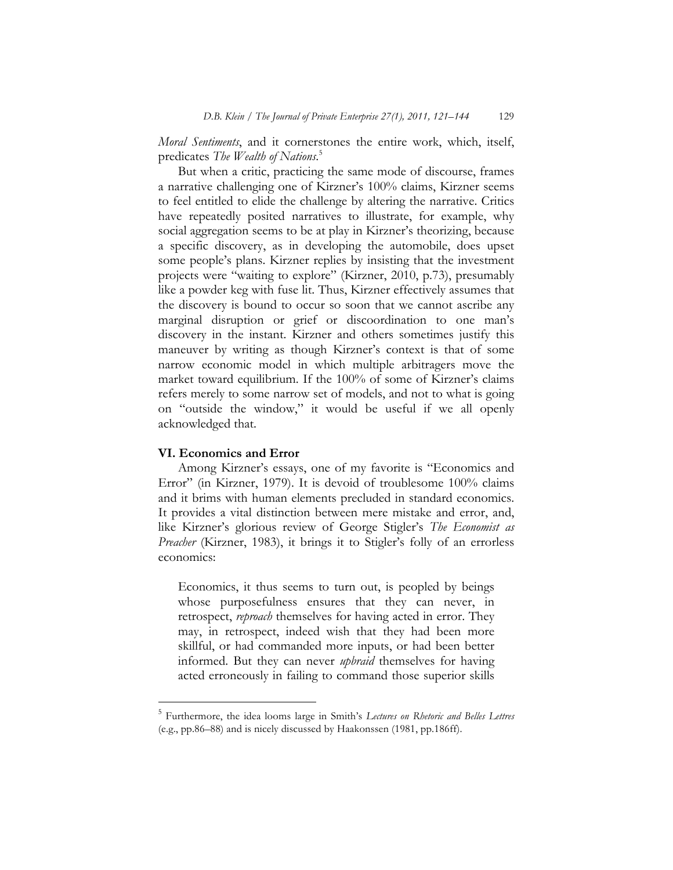*Moral Sentiments*, and it cornerstones the entire work, which, itself, predicates *The Wealth of Nations*. 5

But when a critic, practicing the same mode of discourse, frames a narrative challenging one of Kirzner's 100% claims, Kirzner seems to feel entitled to elide the challenge by altering the narrative. Critics have repeatedly posited narratives to illustrate, for example, why social aggregation seems to be at play in Kirzner's theorizing, because a specific discovery, as in developing the automobile, does upset some people's plans. Kirzner replies by insisting that the investment projects were "waiting to explore" (Kirzner, 2010, p.73), presumably like a powder keg with fuse lit. Thus, Kirzner effectively assumes that the discovery is bound to occur so soon that we cannot ascribe any marginal disruption or grief or discoordination to one man's discovery in the instant. Kirzner and others sometimes justify this maneuver by writing as though Kirzner's context is that of some narrow economic model in which multiple arbitragers move the market toward equilibrium. If the 100% of some of Kirzner's claims refers merely to some narrow set of models, and not to what is going on "outside the window," it would be useful if we all openly acknowledged that.

## **VI. Economics and Error**

Among Kirzner's essays, one of my favorite is "Economics and Error" (in Kirzner, 1979). It is devoid of troublesome 100% claims and it brims with human elements precluded in standard economics. It provides a vital distinction between mere mistake and error, and, like Kirzner's glorious review of George Stigler's *The Economist as Preacher* (Kirzner, 1983), it brings it to Stigler's folly of an errorless economics:

Economics, it thus seems to turn out, is peopled by beings whose purposefulness ensures that they can never, in retrospect, *reproach* themselves for having acted in error. They may, in retrospect, indeed wish that they had been more skillful, or had commanded more inputs, or had been better informed. But they can never *upbraid* themselves for having acted erroneously in failing to command those superior skills

 <sup>5</sup> Furthermore, the idea looms large in Smith's *Lectures on Rhetoric and Belles Lettres* (e.g., pp.86–88) and is nicely discussed by Haakonssen (1981, pp.186ff).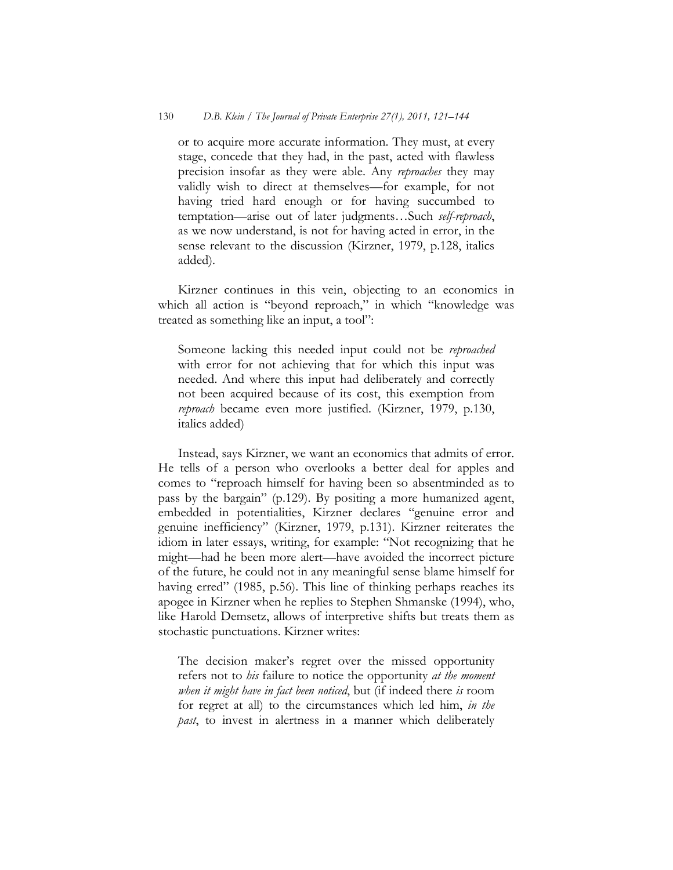#### 130 *D.B. Klein / The Journal of Private Enterprise 27(1), 2011, 121–144*

or to acquire more accurate information. They must, at every stage, concede that they had, in the past, acted with flawless precision insofar as they were able. Any *reproaches* they may validly wish to direct at themselves—for example, for not having tried hard enough or for having succumbed to temptation—arise out of later judgments…Such *self-reproach*, as we now understand, is not for having acted in error, in the sense relevant to the discussion (Kirzner, 1979, p.128, italics added).

Kirzner continues in this vein, objecting to an economics in which all action is "beyond reproach," in which "knowledge was treated as something like an input, a tool":

Someone lacking this needed input could not be *reproached* with error for not achieving that for which this input was needed. And where this input had deliberately and correctly not been acquired because of its cost, this exemption from *reproach* became even more justified. (Kirzner, 1979, p.130, italics added)

Instead, says Kirzner, we want an economics that admits of error. He tells of a person who overlooks a better deal for apples and comes to "reproach himself for having been so absentminded as to pass by the bargain" (p.129). By positing a more humanized agent, embedded in potentialities, Kirzner declares "genuine error and genuine inefficiency" (Kirzner, 1979, p.131). Kirzner reiterates the idiom in later essays, writing, for example: "Not recognizing that he might—had he been more alert—have avoided the incorrect picture of the future, he could not in any meaningful sense blame himself for having erred" (1985, p.56). This line of thinking perhaps reaches its apogee in Kirzner when he replies to Stephen Shmanske (1994), who, like Harold Demsetz, allows of interpretive shifts but treats them as stochastic punctuations. Kirzner writes:

The decision maker's regret over the missed opportunity refers not to *his* failure to notice the opportunity *at the moment when it might have in fact been noticed*, but (if indeed there *is* room for regret at all) to the circumstances which led him, *in the past*, to invest in alertness in a manner which deliberately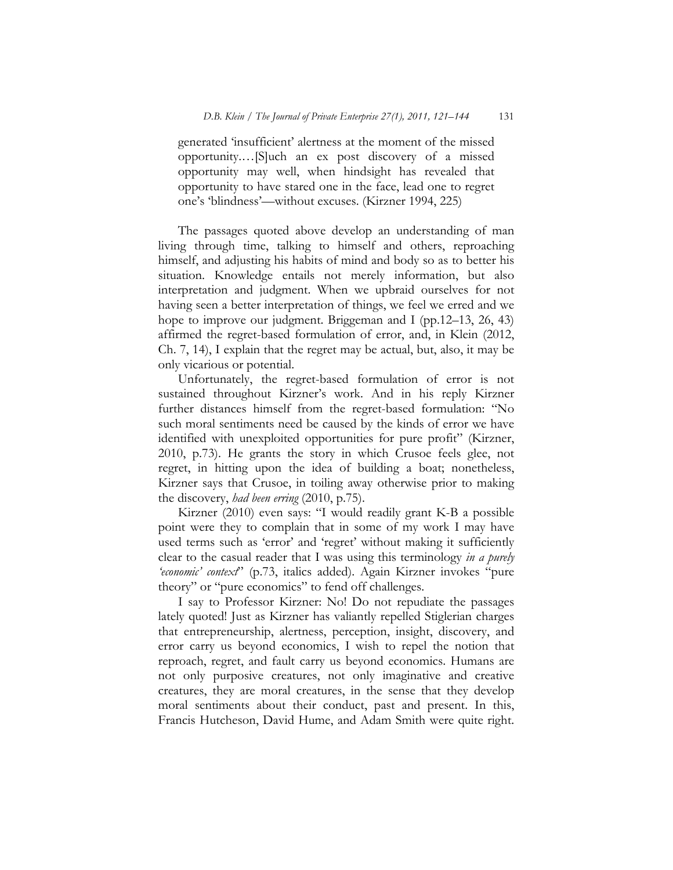generated 'insufficient' alertness at the moment of the missed opportunity.…[S]uch an ex post discovery of a missed opportunity may well, when hindsight has revealed that opportunity to have stared one in the face, lead one to regret one's 'blindness'—without excuses. (Kirzner 1994, 225)

The passages quoted above develop an understanding of man living through time, talking to himself and others, reproaching himself, and adjusting his habits of mind and body so as to better his situation. Knowledge entails not merely information, but also interpretation and judgment. When we upbraid ourselves for not having seen a better interpretation of things, we feel we erred and we hope to improve our judgment. Briggeman and I (pp.12–13, 26, 43) affirmed the regret-based formulation of error, and, in Klein (2012, Ch. 7, 14), I explain that the regret may be actual, but, also, it may be only vicarious or potential.

Unfortunately, the regret-based formulation of error is not sustained throughout Kirzner's work. And in his reply Kirzner further distances himself from the regret-based formulation: "No such moral sentiments need be caused by the kinds of error we have identified with unexploited opportunities for pure profit" (Kirzner, 2010, p.73). He grants the story in which Crusoe feels glee, not regret, in hitting upon the idea of building a boat; nonetheless, Kirzner says that Crusoe, in toiling away otherwise prior to making the discovery, *had been erring* (2010, p.75).

Kirzner (2010) even says: "I would readily grant K-B a possible point were they to complain that in some of my work I may have used terms such as 'error' and 'regret' without making it sufficiently clear to the casual reader that I was using this terminology *in a purely 'economic' context*" (p.73, italics added). Again Kirzner invokes "pure theory" or "pure economics" to fend off challenges.

I say to Professor Kirzner: No! Do not repudiate the passages lately quoted! Just as Kirzner has valiantly repelled Stiglerian charges that entrepreneurship, alertness, perception, insight, discovery, and error carry us beyond economics, I wish to repel the notion that reproach, regret, and fault carry us beyond economics. Humans are not only purposive creatures, not only imaginative and creative creatures, they are moral creatures, in the sense that they develop moral sentiments about their conduct, past and present. In this, Francis Hutcheson, David Hume, and Adam Smith were quite right.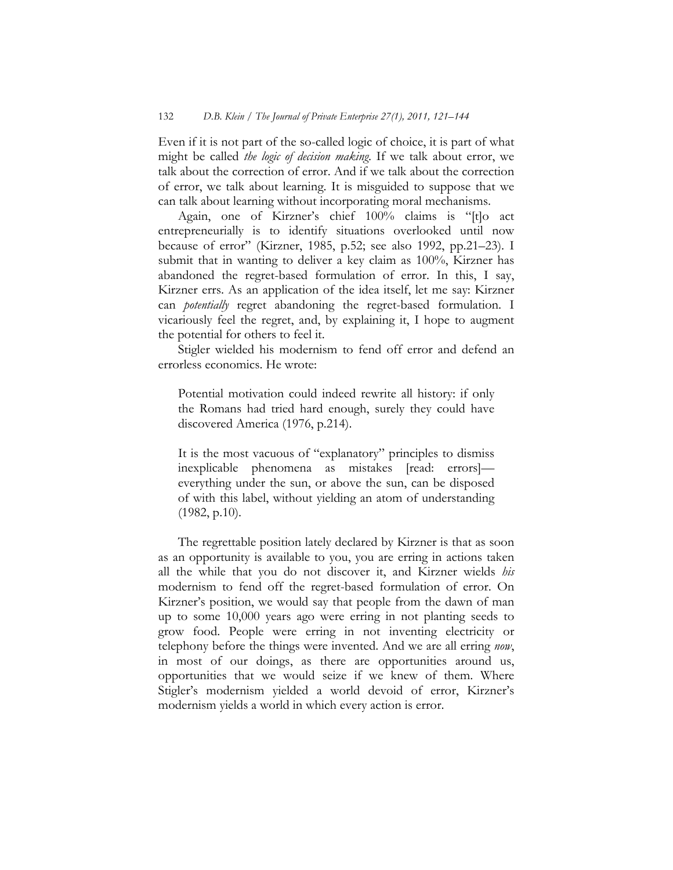Even if it is not part of the so-called logic of choice, it is part of what might be called *the logic of decision making*. If we talk about error, we talk about the correction of error. And if we talk about the correction of error, we talk about learning. It is misguided to suppose that we can talk about learning without incorporating moral mechanisms.

Again, one of Kirzner's chief 100% claims is "[t]o act entrepreneurially is to identify situations overlooked until now because of error" (Kirzner, 1985, p.52; see also 1992, pp.21–23). I submit that in wanting to deliver a key claim as 100%, Kirzner has abandoned the regret-based formulation of error. In this, I say, Kirzner errs. As an application of the idea itself, let me say: Kirzner can *potentially* regret abandoning the regret-based formulation. I vicariously feel the regret, and, by explaining it, I hope to augment the potential for others to feel it.

Stigler wielded his modernism to fend off error and defend an errorless economics. He wrote:

Potential motivation could indeed rewrite all history: if only the Romans had tried hard enough, surely they could have discovered America (1976, p.214).

It is the most vacuous of "explanatory" principles to dismiss inexplicable phenomena as mistakes [read: errors] everything under the sun, or above the sun, can be disposed of with this label, without yielding an atom of understanding (1982, p.10).

The regrettable position lately declared by Kirzner is that as soon as an opportunity is available to you, you are erring in actions taken all the while that you do not discover it, and Kirzner wields *his*  modernism to fend off the regret-based formulation of error. On Kirzner's position, we would say that people from the dawn of man up to some 10,000 years ago were erring in not planting seeds to grow food. People were erring in not inventing electricity or telephony before the things were invented. And we are all erring *now*, in most of our doings, as there are opportunities around us, opportunities that we would seize if we knew of them. Where Stigler's modernism yielded a world devoid of error, Kirzner's modernism yields a world in which every action is error.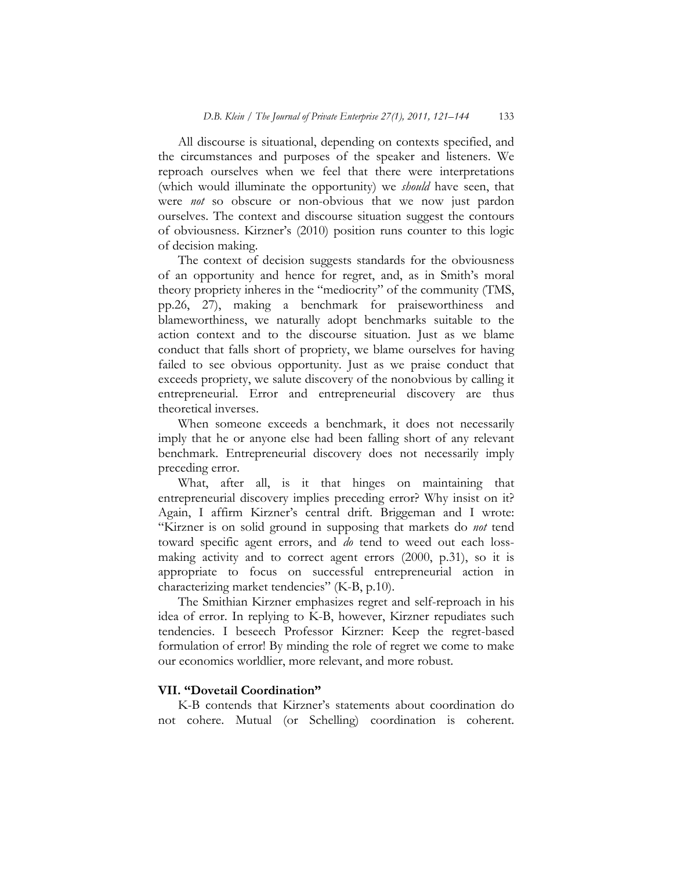All discourse is situational, depending on contexts specified, and the circumstances and purposes of the speaker and listeners. We reproach ourselves when we feel that there were interpretations (which would illuminate the opportunity) we *should* have seen, that were *not* so obscure or non-obvious that we now just pardon ourselves. The context and discourse situation suggest the contours of obviousness. Kirzner's (2010) position runs counter to this logic of decision making.

The context of decision suggests standards for the obviousness of an opportunity and hence for regret, and, as in Smith's moral theory propriety inheres in the "mediocrity" of the community (TMS, pp.26, 27), making a benchmark for praiseworthiness and blameworthiness, we naturally adopt benchmarks suitable to the action context and to the discourse situation. Just as we blame conduct that falls short of propriety, we blame ourselves for having failed to see obvious opportunity. Just as we praise conduct that exceeds propriety, we salute discovery of the nonobvious by calling it entrepreneurial. Error and entrepreneurial discovery are thus theoretical inverses.

When someone exceeds a benchmark, it does not necessarily imply that he or anyone else had been falling short of any relevant benchmark. Entrepreneurial discovery does not necessarily imply preceding error.

What, after all, is it that hinges on maintaining that entrepreneurial discovery implies preceding error? Why insist on it? Again, I affirm Kirzner's central drift. Briggeman and I wrote: "Kirzner is on solid ground in supposing that markets do *not* tend toward specific agent errors, and *do* tend to weed out each lossmaking activity and to correct agent errors (2000, p.31), so it is appropriate to focus on successful entrepreneurial action in characterizing market tendencies" (K-B, p.10).

The Smithian Kirzner emphasizes regret and self-reproach in his idea of error. In replying to K-B, however, Kirzner repudiates such tendencies. I beseech Professor Kirzner: Keep the regret-based formulation of error! By minding the role of regret we come to make our economics worldlier, more relevant, and more robust.

## **VII. "Dovetail Coordination"**

K-B contends that Kirzner's statements about coordination do not cohere. Mutual (or Schelling) coordination is coherent.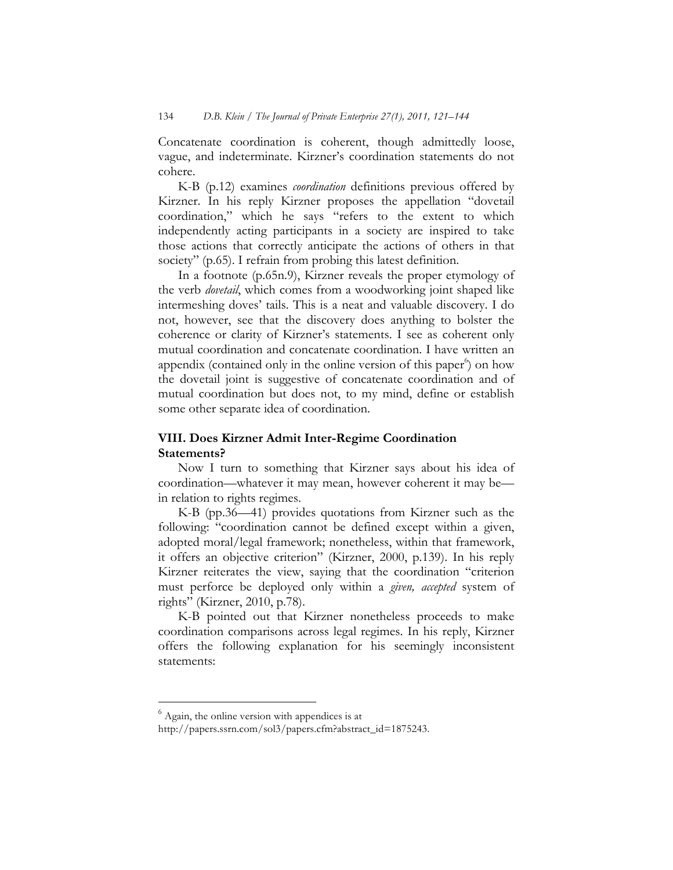Concatenate coordination is coherent, though admittedly loose, vague, and indeterminate. Kirzner's coordination statements do not cohere.

K-B (p.12) examines *coordination* definitions previous offered by Kirzner. In his reply Kirzner proposes the appellation "dovetail coordination," which he says "refers to the extent to which independently acting participants in a society are inspired to take those actions that correctly anticipate the actions of others in that society" (p.65). I refrain from probing this latest definition.

In a footnote (p.65n.9), Kirzner reveals the proper etymology of the verb *dovetail*, which comes from a woodworking joint shaped like intermeshing doves' tails. This is a neat and valuable discovery. I do not, however, see that the discovery does anything to bolster the coherence or clarity of Kirzner's statements. I see as coherent only mutual coordination and concatenate coordination. I have written an appendix (contained only in the online version of this paper<sup>6</sup>) on how the dovetail joint is suggestive of concatenate coordination and of mutual coordination but does not, to my mind, define or establish some other separate idea of coordination.

# **VIII. Does Kirzner Admit Inter-Regime Coordination Statements?**

Now I turn to something that Kirzner says about his idea of coordination—whatever it may mean, however coherent it may be in relation to rights regimes.

K-B (pp.36—41) provides quotations from Kirzner such as the following: "coordination cannot be defined except within a given, adopted moral/legal framework; nonetheless, within that framework, it offers an objective criterion" (Kirzner, 2000, p.139). In his reply Kirzner reiterates the view, saying that the coordination "criterion must perforce be deployed only within a *given, accepted* system of rights" (Kirzner, 2010, p.78).

K-B pointed out that Kirzner nonetheless proceeds to make coordination comparisons across legal regimes. In his reply, Kirzner offers the following explanation for his seemingly inconsistent statements:

 $<sup>6</sup>$  Again, the online version with appendices is at</sup>

http://papers.ssrn.com/sol3/papers.cfm?abstract\_id=1875243.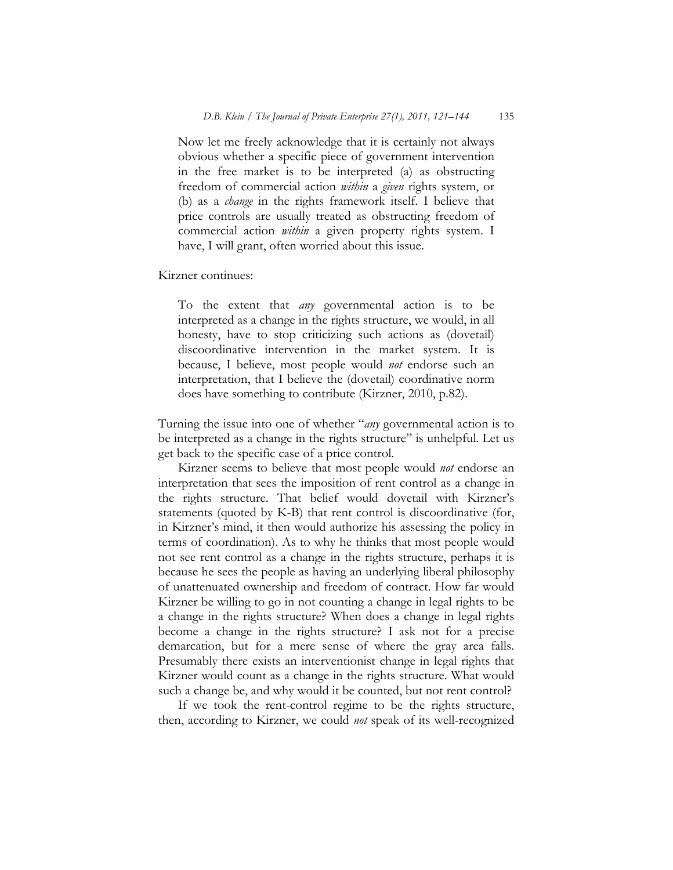Now let me freely acknowledge that it is certainly not always obvious whether a specific piece of government intervention in the free market is to be interpreted (a) as obstructing freedom of commercial action *within* a *given* rights system, or (b) as a *change* in the rights framework itself. I believe that price controls are usually treated as obstructing freedom of commercial action *within* a given property rights system. I have, I will grant, often worried about this issue.

Kirzner continues:

To the extent that *any* governmental action is to be interpreted as a change in the rights structure, we would, in all honesty, have to stop criticizing such actions as (dovetail) discoordinative intervention in the market system. It is because, I believe, most people would *not* endorse such an interpretation, that I believe the (dovetail) coordinative norm does have something to contribute (Kirzner, 2010, p.82).

Turning the issue into one of whether "*any* governmental action is to be interpreted as a change in the rights structure" is unhelpful. Let us get back to the specific case of a price control.

Kirzner seems to believe that most people would *not* endorse an interpretation that sees the imposition of rent control as a change in the rights structure. That belief would dovetail with Kirzner's statements (quoted by K-B) that rent control is discoordinative (for, in Kirzner's mind, it then would authorize his assessing the policy in terms of coordination). As to why he thinks that most people would not see rent control as a change in the rights structure, perhaps it is because he sees the people as having an underlying liberal philosophy of unattenuated ownership and freedom of contract. How far would Kirzner be willing to go in not counting a change in legal rights to be a change in the rights structure? When does a change in legal rights become a change in the rights structure? I ask not for a precise demarcation, but for a mere sense of where the gray area falls. Presumably there exists an interventionist change in legal rights that Kirzner would count as a change in the rights structure. What would such a change be, and why would it be counted, but not rent control?

If we took the rent-control regime to be the rights structure, then, according to Kirzner, we could *not* speak of its well-recognized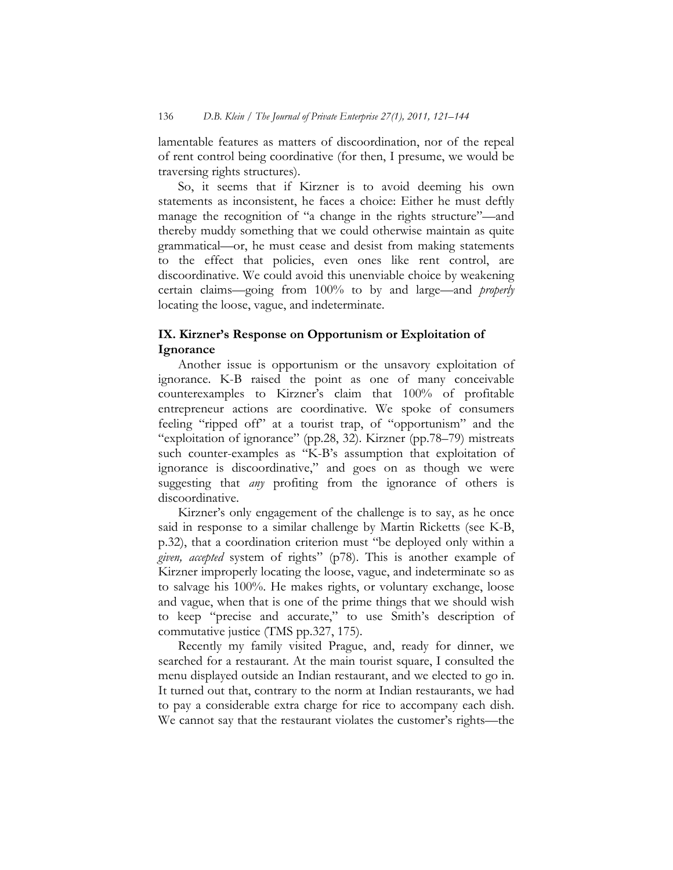lamentable features as matters of discoordination, nor of the repeal of rent control being coordinative (for then, I presume, we would be traversing rights structures).

So, it seems that if Kirzner is to avoid deeming his own statements as inconsistent, he faces a choice: Either he must deftly manage the recognition of "a change in the rights structure"—and thereby muddy something that we could otherwise maintain as quite grammatical—or, he must cease and desist from making statements to the effect that policies, even ones like rent control, are discoordinative. We could avoid this unenviable choice by weakening certain claims—going from 100% to by and large—and *properly* locating the loose, vague, and indeterminate.

# **IX. Kirzner's Response on Opportunism or Exploitation of Ignorance**

Another issue is opportunism or the unsavory exploitation of ignorance. K-B raised the point as one of many conceivable counterexamples to Kirzner's claim that 100% of profitable entrepreneur actions are coordinative. We spoke of consumers feeling "ripped off" at a tourist trap, of "opportunism" and the "exploitation of ignorance" (pp.28, 32). Kirzner (pp.78–79) mistreats such counter-examples as "K-B's assumption that exploitation of ignorance is discoordinative," and goes on as though we were suggesting that *any* profiting from the ignorance of others is discoordinative.

Kirzner's only engagement of the challenge is to say, as he once said in response to a similar challenge by Martin Ricketts (see K-B, p.32), that a coordination criterion must "be deployed only within a *given, accepted* system of rights" (p78). This is another example of Kirzner improperly locating the loose, vague, and indeterminate so as to salvage his 100%. He makes rights, or voluntary exchange, loose and vague, when that is one of the prime things that we should wish to keep "precise and accurate," to use Smith's description of commutative justice (TMS pp.327, 175).

Recently my family visited Prague, and, ready for dinner, we searched for a restaurant. At the main tourist square, I consulted the menu displayed outside an Indian restaurant, and we elected to go in. It turned out that, contrary to the norm at Indian restaurants, we had to pay a considerable extra charge for rice to accompany each dish. We cannot say that the restaurant violates the customer's rights—the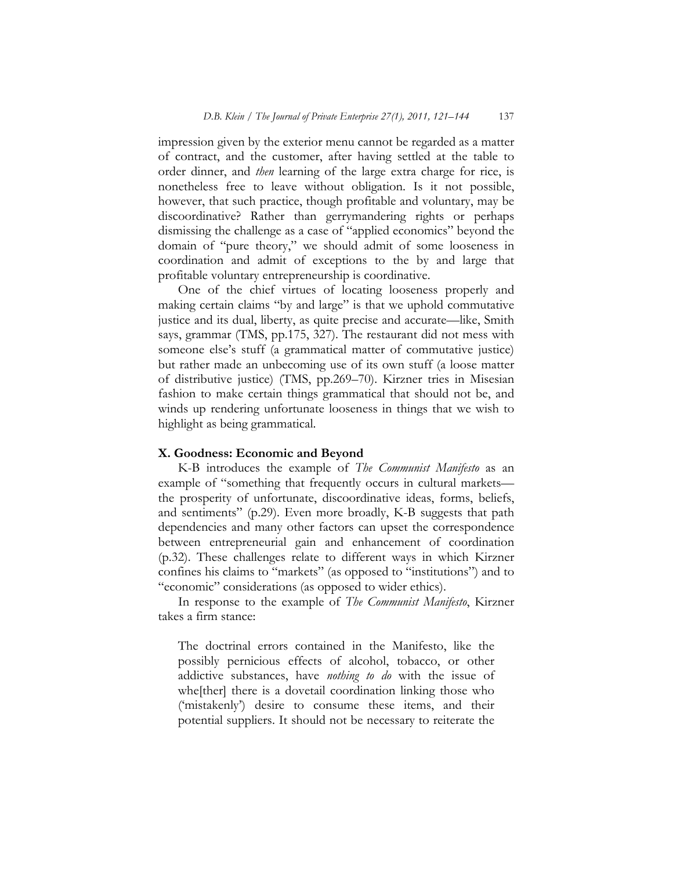impression given by the exterior menu cannot be regarded as a matter of contract, and the customer, after having settled at the table to order dinner, and *then* learning of the large extra charge for rice, is nonetheless free to leave without obligation. Is it not possible, however, that such practice, though profitable and voluntary, may be discoordinative? Rather than gerrymandering rights or perhaps dismissing the challenge as a case of "applied economics" beyond the domain of "pure theory," we should admit of some looseness in coordination and admit of exceptions to the by and large that profitable voluntary entrepreneurship is coordinative.

One of the chief virtues of locating looseness properly and making certain claims "by and large" is that we uphold commutative justice and its dual, liberty, as quite precise and accurate—like, Smith says, grammar (TMS, pp.175, 327). The restaurant did not mess with someone else's stuff (a grammatical matter of commutative justice) but rather made an unbecoming use of its own stuff (a loose matter of distributive justice) (TMS, pp.269–70). Kirzner tries in Misesian fashion to make certain things grammatical that should not be, and winds up rendering unfortunate looseness in things that we wish to highlight as being grammatical.

## **X. Goodness: Economic and Beyond**

K-B introduces the example of *The Communist Manifesto* as an example of "something that frequently occurs in cultural markets the prosperity of unfortunate, discoordinative ideas, forms, beliefs, and sentiments" (p.29). Even more broadly, K-B suggests that path dependencies and many other factors can upset the correspondence between entrepreneurial gain and enhancement of coordination (p.32). These challenges relate to different ways in which Kirzner confines his claims to "markets" (as opposed to "institutions") and to "economic" considerations (as opposed to wider ethics).

In response to the example of *The Communist Manifesto*, Kirzner takes a firm stance:

The doctrinal errors contained in the Manifesto, like the possibly pernicious effects of alcohol, tobacco, or other addictive substances, have *nothing to do* with the issue of whe[ther] there is a dovetail coordination linking those who ('mistakenly') desire to consume these items, and their potential suppliers. It should not be necessary to reiterate the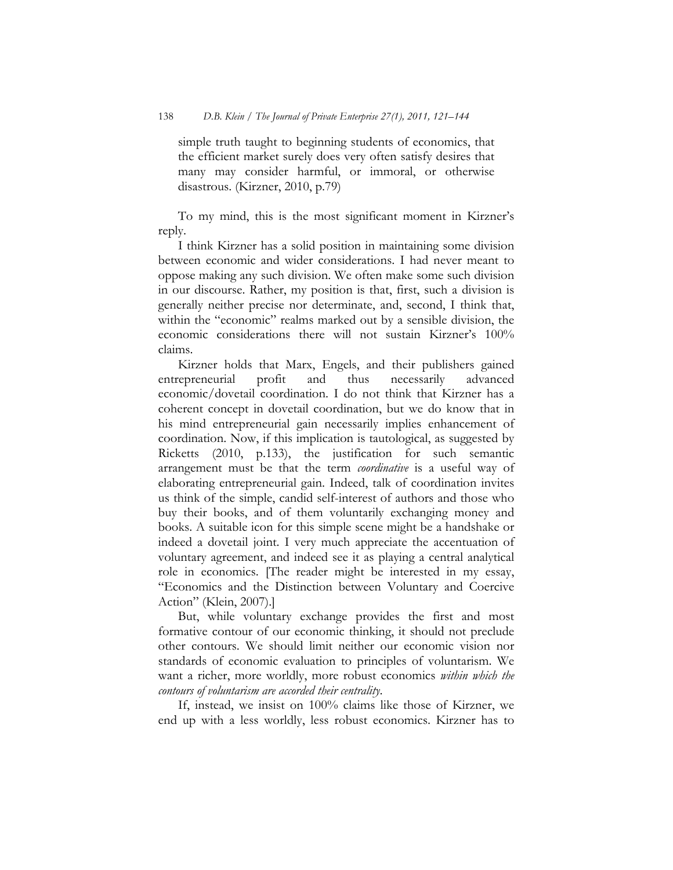simple truth taught to beginning students of economics, that the efficient market surely does very often satisfy desires that many may consider harmful, or immoral, or otherwise disastrous. (Kirzner, 2010, p.79)

To my mind, this is the most significant moment in Kirzner's reply.

I think Kirzner has a solid position in maintaining some division between economic and wider considerations. I had never meant to oppose making any such division. We often make some such division in our discourse. Rather, my position is that, first, such a division is generally neither precise nor determinate, and, second, I think that, within the "economic" realms marked out by a sensible division, the economic considerations there will not sustain Kirzner's 100% claims.

Kirzner holds that Marx, Engels, and their publishers gained entrepreneurial profit and thus necessarily advanced economic/dovetail coordination. I do not think that Kirzner has a coherent concept in dovetail coordination, but we do know that in his mind entrepreneurial gain necessarily implies enhancement of coordination. Now, if this implication is tautological, as suggested by Ricketts (2010, p.133), the justification for such semantic arrangement must be that the term *coordinative* is a useful way of elaborating entrepreneurial gain. Indeed, talk of coordination invites us think of the simple, candid self-interest of authors and those who buy their books, and of them voluntarily exchanging money and books. A suitable icon for this simple scene might be a handshake or indeed a dovetail joint. I very much appreciate the accentuation of voluntary agreement, and indeed see it as playing a central analytical role in economics. [The reader might be interested in my essay, "Economics and the Distinction between Voluntary and Coercive Action" (Klein, 2007).]

But, while voluntary exchange provides the first and most formative contour of our economic thinking, it should not preclude other contours. We should limit neither our economic vision nor standards of economic evaluation to principles of voluntarism. We want a richer, more worldly, more robust economics *within which the contours of voluntarism are accorded their centrality*.

If, instead, we insist on 100% claims like those of Kirzner, we end up with a less worldly, less robust economics. Kirzner has to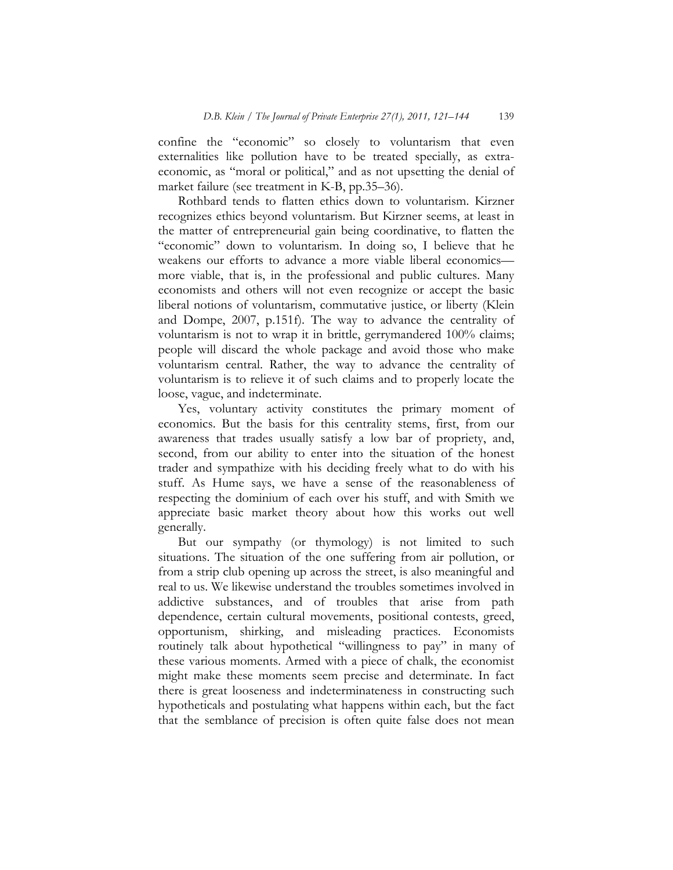confine the "economic" so closely to voluntarism that even externalities like pollution have to be treated specially, as extraeconomic, as "moral or political," and as not upsetting the denial of market failure (see treatment in K-B, pp.35–36).

Rothbard tends to flatten ethics down to voluntarism. Kirzner recognizes ethics beyond voluntarism. But Kirzner seems, at least in the matter of entrepreneurial gain being coordinative, to flatten the "economic" down to voluntarism. In doing so, I believe that he weakens our efforts to advance a more viable liberal economics more viable, that is, in the professional and public cultures. Many economists and others will not even recognize or accept the basic liberal notions of voluntarism, commutative justice, or liberty (Klein and Dompe, 2007, p.151f). The way to advance the centrality of voluntarism is not to wrap it in brittle, gerrymandered 100% claims; people will discard the whole package and avoid those who make voluntarism central. Rather, the way to advance the centrality of voluntarism is to relieve it of such claims and to properly locate the loose, vague, and indeterminate.

Yes, voluntary activity constitutes the primary moment of economics. But the basis for this centrality stems, first, from our awareness that trades usually satisfy a low bar of propriety, and, second, from our ability to enter into the situation of the honest trader and sympathize with his deciding freely what to do with his stuff. As Hume says, we have a sense of the reasonableness of respecting the dominium of each over his stuff, and with Smith we appreciate basic market theory about how this works out well generally.

But our sympathy (or thymology) is not limited to such situations. The situation of the one suffering from air pollution, or from a strip club opening up across the street, is also meaningful and real to us. We likewise understand the troubles sometimes involved in addictive substances, and of troubles that arise from path dependence, certain cultural movements, positional contests, greed, opportunism, shirking, and misleading practices. Economists routinely talk about hypothetical "willingness to pay" in many of these various moments. Armed with a piece of chalk, the economist might make these moments seem precise and determinate. In fact there is great looseness and indeterminateness in constructing such hypotheticals and postulating what happens within each, but the fact that the semblance of precision is often quite false does not mean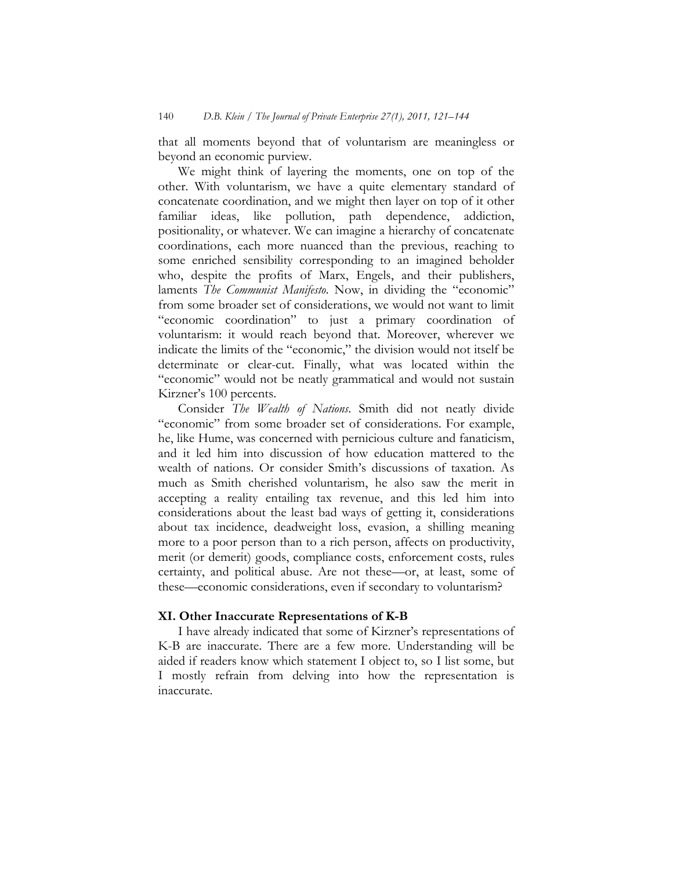that all moments beyond that of voluntarism are meaningless or beyond an economic purview.

We might think of layering the moments, one on top of the other. With voluntarism, we have a quite elementary standard of concatenate coordination, and we might then layer on top of it other familiar ideas, like pollution, path dependence, addiction, positionality, or whatever. We can imagine a hierarchy of concatenate coordinations, each more nuanced than the previous, reaching to some enriched sensibility corresponding to an imagined beholder who, despite the profits of Marx, Engels, and their publishers, laments *The Communist Manifesto*. Now, in dividing the "economic" from some broader set of considerations, we would not want to limit "economic coordination" to just a primary coordination of voluntarism: it would reach beyond that. Moreover, wherever we indicate the limits of the "economic," the division would not itself be determinate or clear-cut. Finally, what was located within the "economic" would not be neatly grammatical and would not sustain Kirzner's 100 percents.

Consider *The Wealth of Nations*. Smith did not neatly divide "economic" from some broader set of considerations. For example, he, like Hume, was concerned with pernicious culture and fanaticism, and it led him into discussion of how education mattered to the wealth of nations. Or consider Smith's discussions of taxation. As much as Smith cherished voluntarism, he also saw the merit in accepting a reality entailing tax revenue, and this led him into considerations about the least bad ways of getting it, considerations about tax incidence, deadweight loss, evasion, a shilling meaning more to a poor person than to a rich person, affects on productivity, merit (or demerit) goods, compliance costs, enforcement costs, rules certainty, and political abuse. Are not these—or, at least, some of these—economic considerations, even if secondary to voluntarism?

## **XI. Other Inaccurate Representations of K-B**

I have already indicated that some of Kirzner's representations of K-B are inaccurate. There are a few more. Understanding will be aided if readers know which statement I object to, so I list some, but I mostly refrain from delving into how the representation is inaccurate.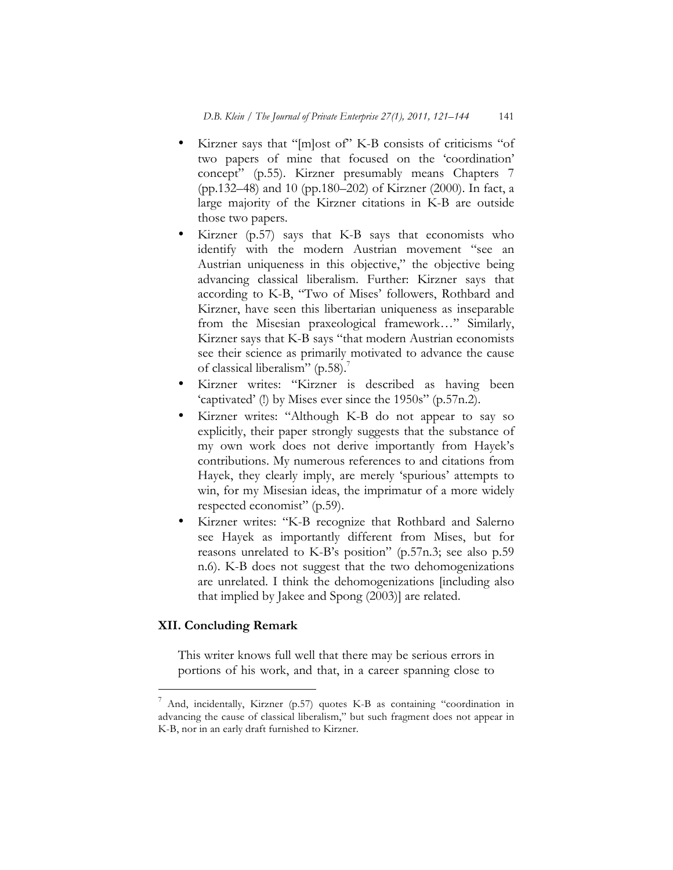- Kirzner says that "[m]ost of" K-B consists of criticisms "of two papers of mine that focused on the 'coordination' concept" (p.55). Kirzner presumably means Chapters 7 (pp.132–48) and 10 (pp.180–202) of Kirzner (2000). In fact, a large majority of the Kirzner citations in K-B are outside those two papers.
- Kirzner (p.57) says that K-B says that economists who identify with the modern Austrian movement "see an Austrian uniqueness in this objective," the objective being advancing classical liberalism. Further: Kirzner says that according to K-B, "Two of Mises' followers, Rothbard and Kirzner, have seen this libertarian uniqueness as inseparable from the Misesian praxeological framework…" Similarly, Kirzner says that K-B says "that modern Austrian economists see their science as primarily motivated to advance the cause of classical liberalism"  $(p.58)$ .
- Kirzner writes: "Kirzner is described as having been 'captivated' (!) by Mises ever since the 1950s" (p.57n.2).
- Kirzner writes: "Although K-B do not appear to say so explicitly, their paper strongly suggests that the substance of my own work does not derive importantly from Hayek's contributions. My numerous references to and citations from Hayek, they clearly imply, are merely 'spurious' attempts to win, for my Misesian ideas, the imprimatur of a more widely respected economist" (p.59).
- Kirzner writes: "K-B recognize that Rothbard and Salerno see Hayek as importantly different from Mises, but for reasons unrelated to K-B's position" (p.57n.3; see also p.59 n.6). K-B does not suggest that the two dehomogenizations are unrelated. I think the dehomogenizations [including also that implied by Jakee and Spong (2003)] are related.

## **XII. Concluding Remark**

This writer knows full well that there may be serious errors in portions of his work, and that, in a career spanning close to

 <sup>7</sup> And, incidentally, Kirzner (p.57) quotes K-B as containing "coordination in advancing the cause of classical liberalism," but such fragment does not appear in K-B, nor in an early draft furnished to Kirzner.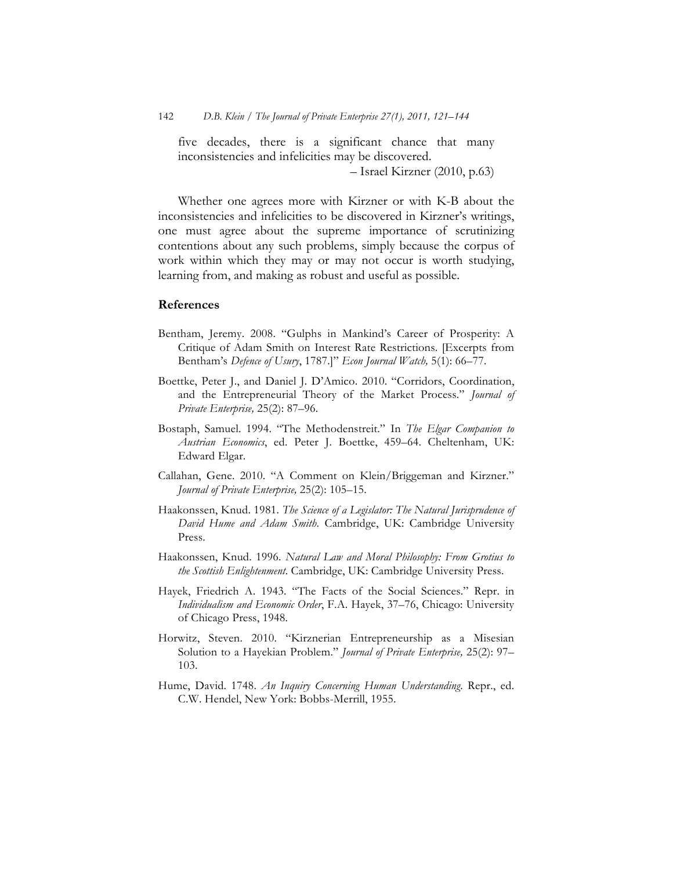142 *D.B. Klein / The Journal of Private Enterprise 27(1), 2011, 121–144*

five decades, there is a significant chance that many inconsistencies and infelicities may be discovered. – Israel Kirzner (2010, p.63)

Whether one agrees more with Kirzner or with K-B about the inconsistencies and infelicities to be discovered in Kirzner's writings, one must agree about the supreme importance of scrutinizing contentions about any such problems, simply because the corpus of work within which they may or may not occur is worth studying, learning from, and making as robust and useful as possible.

## **References**

- Bentham, Jeremy. 2008. "Gulphs in Mankind's Career of Prosperity: A Critique of Adam Smith on Interest Rate Restrictions. [Excerpts from Bentham's *Defence of Usury*, 1787.]" *Econ Journal Watch,* 5(1): 66–77.
- Boettke, Peter J., and Daniel J. D'Amico. 2010. "Corridors, Coordination, and the Entrepreneurial Theory of the Market Process." *Journal of Private Enterprise,* 25(2): 87–96.
- Bostaph, Samuel. 1994. "The Methodenstreit." In *The Elgar Companion to Austrian Economics*, ed. Peter J. Boettke, 459–64. Cheltenham, UK: Edward Elgar.
- Callahan, Gene. 2010. "A Comment on Klein/Briggeman and Kirzner." *Journal of Private Enterprise,* 25(2): 105–15.
- Haakonssen, Knud. 1981. *The Science of a Legislator: The Natural Jurisprudence of David Hume and Adam Smith*. Cambridge, UK: Cambridge University Press.
- Haakonssen, Knud. 1996. *Natural Law and Moral Philosophy: From Grotius to the Scottish Enlightenment*. Cambridge, UK: Cambridge University Press.
- Hayek, Friedrich A. 1943. "The Facts of the Social Sciences." Repr. in *Individualism and Economic Order*, F.A. Hayek, 37–76, Chicago: University of Chicago Press, 1948.
- Horwitz, Steven. 2010. "Kirznerian Entrepreneurship as a Misesian Solution to a Hayekian Problem." *Journal of Private Enterprise,* 25(2): 97– 103.
- Hume, David. 1748. *An Inquiry Concerning Human Understanding*. Repr., ed. C.W. Hendel, New York: Bobbs-Merrill, 1955.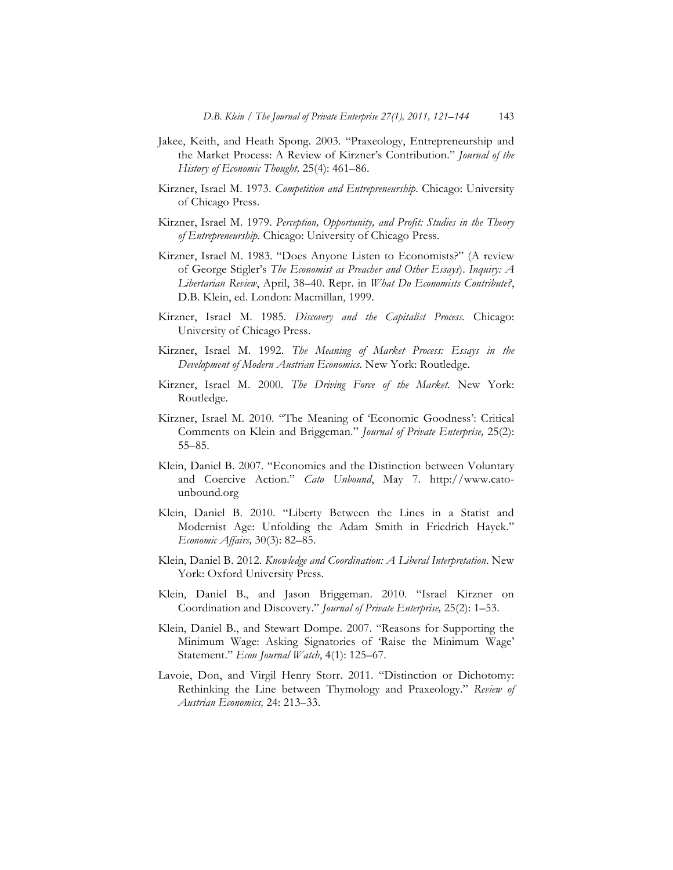- Jakee, Keith, and Heath Spong. 2003. "Praxeology, Entrepreneurship and the Market Process: A Review of Kirzner's Contribution." *Journal of the History of Economic Thought,* 25(4): 461–86.
- Kirzner, Israel M. 1973. *Competition and Entrepreneurship*. Chicago: University of Chicago Press.
- Kirzner, Israel M. 1979. *Perception, Opportunity, and Profit: Studies in the Theory of Entrepreneurship.* Chicago: University of Chicago Press.
- Kirzner, Israel M. 1983. "Does Anyone Listen to Economists?" (A review of George Stigler's *The Economist as Preacher and Other Essays*). *Inquiry: A Libertarian Review*, April, 38–40. Repr. in *What Do Economists Contribute?*, D.B. Klein, ed. London: Macmillan, 1999.
- Kirzner, Israel M. 1985. *Discovery and the Capitalist Process.* Chicago: University of Chicago Press.
- Kirzner, Israel M. 1992. *The Meaning of Market Process: Essays in the Development of Modern Austrian Economics*. New York: Routledge.
- Kirzner, Israel M. 2000. *The Driving Force of the Market.* New York: Routledge.
- Kirzner, Israel M. 2010. "The Meaning of 'Economic Goodness': Critical Comments on Klein and Briggeman." *Journal of Private Enterprise,* 25(2): 55–85.
- Klein, Daniel B. 2007. "Economics and the Distinction between Voluntary and Coercive Action." *Cato Unbound*, May 7. http://www.catounbound.org
- Klein, Daniel B. 2010. "Liberty Between the Lines in a Statist and Modernist Age: Unfolding the Adam Smith in Friedrich Hayek." *Economic Affairs,* 30(3): 82–85.
- Klein, Daniel B. 2012. *Knowledge and Coordination: A Liberal Interpretation*. New York: Oxford University Press.
- Klein, Daniel B., and Jason Briggeman. 2010. "Israel Kirzner on Coordination and Discovery." *Journal of Private Enterprise,* 25(2): 1–53.
- Klein, Daniel B., and Stewart Dompe. 2007. "Reasons for Supporting the Minimum Wage: Asking Signatories of 'Raise the Minimum Wage' Statement." *Econ Journal Watch*, 4(1): 125–67.
- Lavoie, Don, and Virgil Henry Storr. 2011. "Distinction or Dichotomy: Rethinking the Line between Thymology and Praxeology." *Review of Austrian Economics,* 24: 213–33.